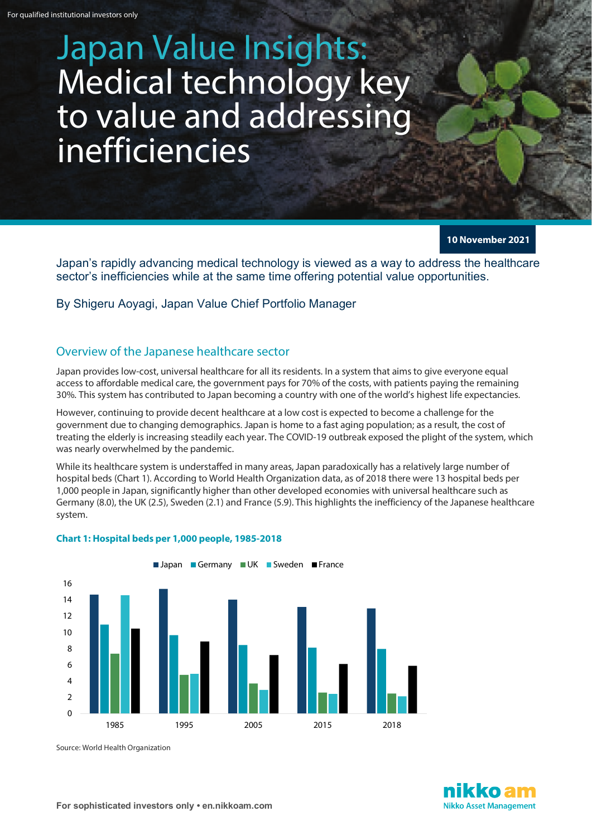# Japan Value Insights: Medical technology key to value and addressing inefficiencies

**10 November 2021**

Japan's rapidly advancing medical technology is viewed as a way to address the healthcare sector's inefficiencies while at the same time offering potential value opportunities.

By Shigeru Aoyagi, Japan Value Chief Portfolio Manager

## Overview of the Japanese healthcare sector

Japan provides low-cost, universal healthcare for all its residents. In a system that aims to give everyone equal access to affordable medical care, the government pays for 70% of the costs, with patients paying the remaining 30%. This system has contributed to Japan becoming a country with one of the world's highest life expectancies.

However, continuing to provide decent healthcare at a low cost is expected to become a challenge for the government due to changing demographics. Japan is home to a fast aging population; as a result, the cost of treating the elderly is increasing steadily each year. The COVID-19 outbreak exposed the plight of the system, which was nearly overwhelmed by the pandemic.

While its healthcare system is understaffed in many areas, Japan paradoxically has a relatively large number of hospital beds (Chart 1). According to World Health Organization data, as of 2018 there were 13 hospital beds per 1,000 people in Japan, significantly higher than other developed economies with universal healthcare such as Germany (8.0), the UK (2.5), Sweden (2.1) and France (5.9). This highlights the inefficiency of the Japanese healthcare system.



#### **Chart 1: Hospital beds per 1,000 people, 1985-2018**

Source: World Health Organization

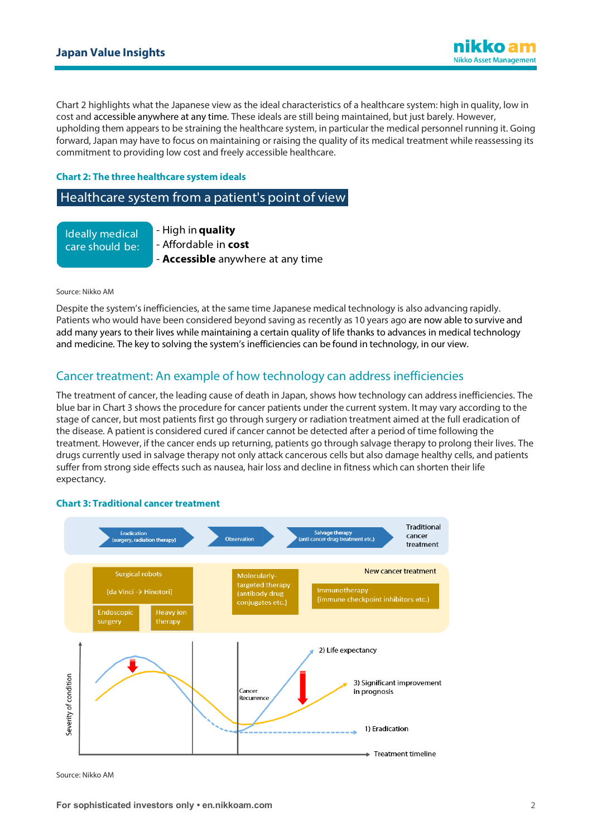Chart 2 highlights what the Japanese view as the ideal characteristics of a healthcare system: high in quality, low in cost and accessible anywhere at any time. These ideals are still being maintained, but just barely. However, upholding them appears to be straining the healthcare system, in particular the medical personnel running it. Going forward, Japan may have to focus on maintaining or raising the quality of its medical treatment while reassessing its commitment to providing low cost and freely accessible healthcare.

#### **Chart 2: The three healthcare system ideals**

## Healthcare system from a patient's point of view

Ideally medical care should be: - High in **quality** - Affordable in **cost** - **Accessible** anywhere at any time

Source: Nikko AM

Despite the system's inefficiencies, at the same time Japanese medical technology is also advancing rapidly. Patients who would have been considered beyond saving as recently as 10 years ago are now able to survive and add many years to their lives while maintaining a certain quality of life thanks to advances in medical technology and medicine. The key to solving the system's inefficiencies can be found in technology, in our view.

# Cancer treatment: An example of how technology can address inefficiencies

The treatment of cancer, the leading cause of death in Japan, shows how technology can address inefficiencies. The blue bar in Chart 3 shows the procedure for cancer patients under the current system. It may vary according to the stage of cancer, but most patients first go through surgery or radiation treatment aimed at the full eradication of the disease. A patient is considered cured if cancer cannot be detected after a period of time following the treatment. However, if the cancer ends up returning, patients go through salvage therapy to prolong their lives. The drugs currently used in salvage therapy not only attack cancerous cells but also damage healthy cells, and patients suffer from strong side effects such as nausea, hair loss and decline in fitness which can shorten their life expectancy.

#### **Chart 3: Traditional cancer treatment**



Source: Nikko AM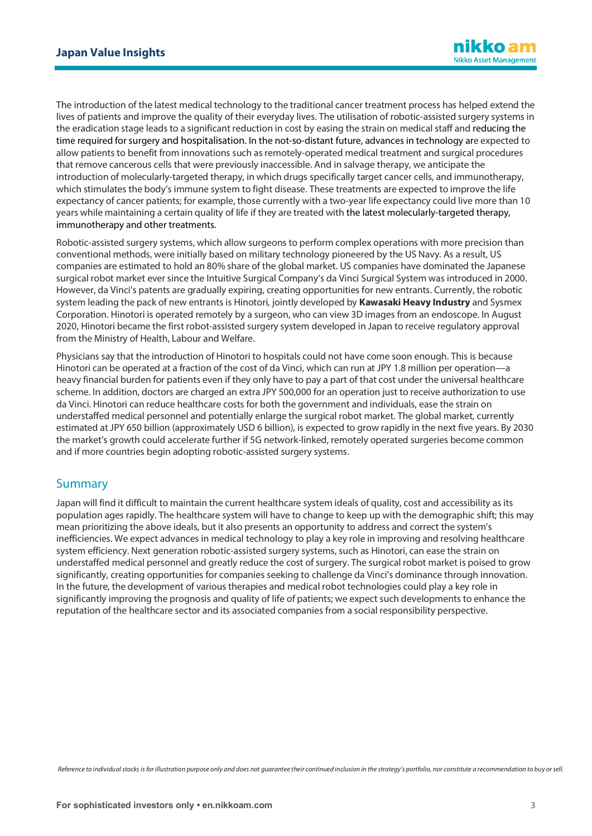The introduction of the latest medical technology to the traditional cancer treatment process has helped extend the lives of patients and improve the quality of their everyday lives. The utilisation of robotic-assisted surgery systems in the eradication stage leads to a significant reduction in cost by easing the strain on medical staff and reducing the time required for surgery and hospitalisation. In the not-so-distant future, advances in technology are expected to allow patients to benefit from innovations such as remotely-operated medical treatment and surgical procedures that remove cancerous cells that were previously inaccessible. And in salvage therapy, we anticipate the introduction of molecularly-targeted therapy, in which drugs specifically target cancer cells, and immunotherapy, which stimulates the body's immune system to fight disease. These treatments are expected to improve the life expectancy of cancer patients; for example, those currently with a two-year life expectancy could live more than 10 years while maintaining a certain quality of life if they are treated with the latest molecularly-targeted therapy, immunotherapy and other treatments.

Robotic-assisted surgery systems, which allow surgeons to perform complex operations with more precision than conventional methods, were initially based on military technology pioneered by the US Navy. As a result, US companies are estimated to hold an 80% share of the global market. US companies have dominated the Japanese surgical robot market ever since the Intuitive Surgical Company's da Vinci Surgical System was introduced in 2000. However, da Vinci's patents are gradually expiring, creating opportunities for new entrants. Currently, the robotic system leading the pack of new entrants is Hinotori, jointly developed by **Kawasaki Heavy Industry** and Sysmex Corporation. Hinotori is operated remotely by a surgeon, who can view 3D images from an endoscope. In August 2020, Hinotori became the first robot-assisted surgery system developed in Japan to receive regulatory approval from the Ministry of Health, Labour and Welfare.

Physicians say that the introduction of Hinotori to hospitals could not have come soon enough. This is because Hinotori can be operated at a fraction of the cost of da Vinci, which can run at JPY 1.8 million per operation—a heavy financial burden for patients even if they only have to pay a part of that cost under the universal healthcare scheme. In addition, doctors are charged an extra JPY 500,000 for an operation just to receive authorization to use da Vinci. Hinotori can reduce healthcare costs for both the government and individuals, ease the strain on understaffed medical personnel and potentially enlarge the surgical robot market. The global market, currently estimated at JPY 650 billion (approximately USD 6 billion), is expected to grow rapidly in the next five years. By 2030 the market's growth could accelerate further if 5G network-linked, remotely operated surgeries become common and if more countries begin adopting robotic-assisted surgery systems.

## **Summary**

Japan will find it difficult to maintain the current healthcare system ideals of quality, cost and accessibility as its population ages rapidly. The healthcare system will have to change to keep up with the demographic shift; this may mean prioritizing the above ideals, but it also presents an opportunity to address and correct the system's inefficiencies. We expect advances in medical technology to play a key role in improving and resolving healthcare system efficiency. Next generation robotic-assisted surgery systems, such as Hinotori, can ease the strain on understaffed medical personnel and greatly reduce the cost of surgery. The surgical robot market is poised to grow significantly, creating opportunities for companies seeking to challenge da Vinci's dominance through innovation. In the future, the development of various therapies and medical robot technologies could play a key role in significantly improving the prognosis and quality of life of patients; we expect such developments to enhance the reputation of the healthcare sector and its associated companies from a social responsibility perspective.

*Reference to individual stocks is for illustration purpose only and does not guarantee their continued inclusion in the strategy's portfolio, nor constitute a recommendation to buy or sell.*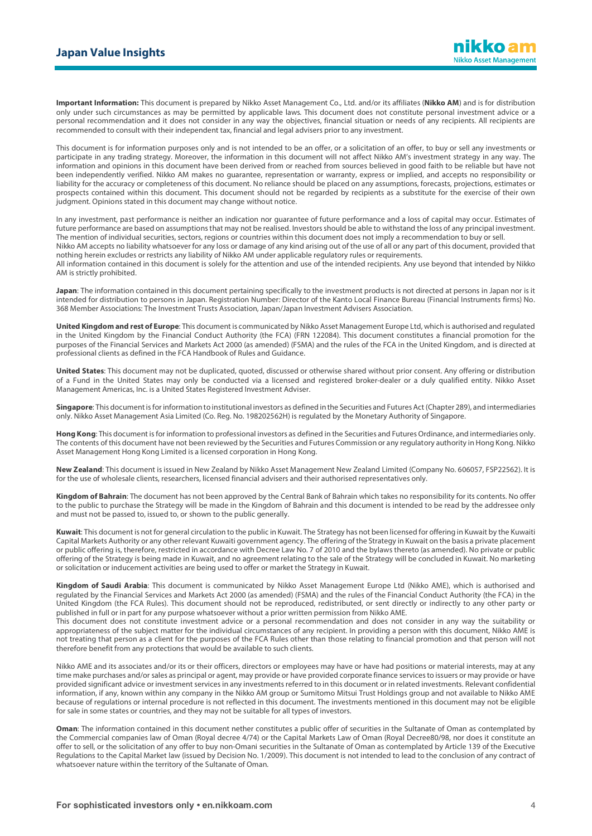**Important Information:** This document is prepared by Nikko Asset Management Co., Ltd. and/or its affiliates (**Nikko AM**) and is for distribution only under such circumstances as may be permitted by applicable laws. This document does not constitute personal investment advice or a personal recommendation and it does not consider in any way the objectives, financial situation or needs of any recipients. All recipients are recommended to consult with their independent tax, financial and legal advisers prior to any investment.

This document is for information purposes only and is not intended to be an offer, or a solicitation of an offer, to buy or sell any investments or participate in any trading strategy. Moreover, the information in this document will not affect Nikko AM's investment strategy in any way. The information and opinions in this document have been derived from or reached from sources believed in good faith to be reliable but have not been independently verified. Nikko AM makes no guarantee, representation or warranty, express or implied, and accepts no responsibility or liability for the accuracy or completeness of this document. No reliance should be placed on any assumptions, forecasts, projections, estimates or prospects contained within this document. This document should not be regarded by recipients as a substitute for the exercise of their own judgment. Opinions stated in this document may change without notice.

In any investment, past performance is neither an indication nor guarantee of future performance and a loss of capital may occur. Estimates of future performance are based on assumptions that may not be realised. Investors should be able to withstand the loss of any principal investment. The mention of individual securities, sectors, regions or countries within this document does not imply a recommendation to buy or sell. Nikko AM accepts no liability whatsoever for any loss or damage of any kind arising out of the use of all or any part of this document, provided that nothing herein excludes or restricts any liability of Nikko AM under applicable regulatory rules or requirements. All information contained in this document is solely for the attention and use of the intended recipients. Any use beyond that intended by Nikko AM is strictly prohibited.

**Japan**: The information contained in this document pertaining specifically to the investment products is not directed at persons in Japan nor is it intended for distribution to persons in Japan. Registration Number: Director of the Kanto Local Finance Bureau (Financial Instruments firms) No. 368 Member Associations: The Investment Trusts Association, Japan/Japan Investment Advisers Association.

**United Kingdom and rest of Europe**: This document is communicated by Nikko Asset Management Europe Ltd, which is authorised and regulated in the United Kingdom by the Financial Conduct Authority (the FCA) (FRN 122084). This document constitutes a financial promotion for the purposes of the Financial Services and Markets Act 2000 (as amended) (FSMA) and the rules of the FCA in the United Kingdom, and is directed at professional clients as defined in the FCA Handbook of Rules and Guidance.

**United States**: This document may not be duplicated, quoted, discussed or otherwise shared without prior consent. Any offering or distribution of a Fund in the United States may only be conducted via a licensed and registered broker-dealer or a duly qualified entity. Nikko Asset Management Americas, Inc. is a United States Registered Investment Adviser.

**Singapore**: This document is for information to institutional investors as defined in the Securities and Futures Act (Chapter 289), and intermediaries only. Nikko Asset Management Asia Limited (Co. Reg. No. 198202562H) is regulated by the Monetary Authority of Singapore.

**Hong Kong**: This document is for information to professional investors as defined in the Securities and Futures Ordinance, and intermediaries only. The contents of this document have not been reviewed by the Securities and Futures Commission or any regulatory authority in Hong Kong. Nikko Asset Management Hong Kong Limited is a licensed corporation in Hong Kong.

**New Zealand**: This document is issued in New Zealand by Nikko Asset Management New Zealand Limited (Company No. 606057, FSP22562). It is for the use of wholesale clients, researchers, licensed financial advisers and their authorised representatives only.

**Kingdom of Bahrain**: The document has not been approved by the Central Bank of Bahrain which takes no responsibility for its contents. No offer to the public to purchase the Strategy will be made in the Kingdom of Bahrain and this document is intended to be read by the addressee only and must not be passed to, issued to, or shown to the public generally.

**Kuwait**: This document is not for general circulation to the public in Kuwait. The Strategy has not been licensed for offering in Kuwait by the Kuwaiti Capital Markets Authority or any other relevant Kuwaiti government agency. The offering of the Strategy in Kuwait on the basis a private placement or public offering is, therefore, restricted in accordance with Decree Law No. 7 of 2010 and the bylaws thereto (as amended). No private or public offering of the Strategy is being made in Kuwait, and no agreement relating to the sale of the Strategy will be concluded in Kuwait. No marketing or solicitation or inducement activities are being used to offer or market the Strategy in Kuwait.

**Kingdom of Saudi Arabia**: This document is communicated by Nikko Asset Management Europe Ltd (Nikko AME), which is authorised and regulated by the Financial Services and Markets Act 2000 (as amended) (FSMA) and the rules of the Financial Conduct Authority (the FCA) in the United Kingdom (the FCA Rules). This document should not be reproduced, redistributed, or sent directly or indirectly to any other party or published in full or in part for any purpose whatsoever without a prior written permission from Nikko AME.

This document does not constitute investment advice or a personal recommendation and does not consider in any way the suitability or appropriateness of the subject matter for the individual circumstances of any recipient. In providing a person with this document, Nikko AME is not treating that person as a client for the purposes of the FCA Rules other than those relating to financial promotion and that person will not therefore benefit from any protections that would be available to such clients.

Nikko AME and its associates and/or its or their officers, directors or employees may have or have had positions or material interests, may at any time make purchases and/or sales as principal or agent, may provide or have provided corporate finance services to issuers or may provide or have provided significant advice or investment services in any investments referred to in this document or in related investments. Relevant confidential information, if any, known within any company in the Nikko AM group or Sumitomo Mitsui Trust Holdings group and not available to Nikko AME because of regulations or internal procedure is not reflected in this document. The investments mentioned in this document may not be eligible for sale in some states or countries, and they may not be suitable for all types of investors.

**Oman**: The information contained in this document nether constitutes a public offer of securities in the Sultanate of Oman as contemplated by the Commercial companies law of Oman (Royal decree 4/74) or the Capital Markets Law of Oman (Royal Decree80/98, nor does it constitute an offer to sell, or the solicitation of any offer to buy non-Omani securities in the Sultanate of Oman as contemplated by Article 139 of the Executive Regulations to the Capital Market law (issued by Decision No. 1/2009). This document is not intended to lead to the conclusion of any contract of whatsoever nature within the territory of the Sultanate of Oman.